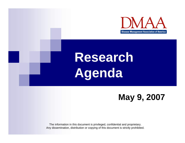

# **Research Agenda**

#### **May 9, 2007**

The information in this document is privileged, confidential and proprietary. Any dissemination, distribution or copying of this document is strictly prohibited.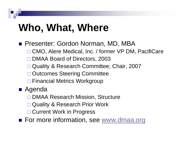## **Who, What, Where**

- **Presenter: Gordon Norman, MD, MBA** 
	- □ CMO, Alere Medical, Inc. / former VP DM, PacifiCare
	- □ DMAA Board of Directors, 2003
	- $\Box$ Quality & Research Committee; Chair, 2007
	- $\Box$ Outcomes Steering Committee
	- □ Financial Metrics Workgroup
- Agenda
	- □ DMAA Research Mission, Structure
	- $\Box$ Quality & Research Prior Work
	- □ Current Work in Progress

■ For more information, see www.dmaa.org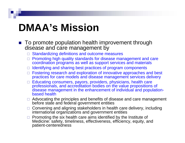## **DMAA's Mission**

- To promote population health improvement through disease and care management by
	- $\Box$  Standardizing definitions and outcome measures
	- $\quad \Box \,$  Promoting high quality standards for disease management and care coordination programs as well as support services and materials
	- $\Box$  Identifying and sharing best practices of program components
	- $\Box$  Fostering research and exploration of innovative approaches and best practices for care models and disease management services delivery
	- $\Box$  Educating consumers, payors, providers, physicians, health care professionals, and accreditation bodies on the value propositions of disease management in the enhancement of individual and populationbased health
	- □ Advocating the principles and benefits of disease and care management before state and federal government entities
	- □ Convening and aligning stakeholders in health care delivery, including international organizations and government entities
	- $\Box$  Promoting the six health care aims identified by the Institute of Medicine: safety, timeliness, effectiveness, efficiency, equity, and patient-centeredness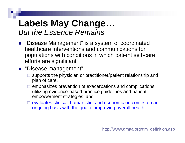#### **Labels May Change…** *But the Essence Remains*

- "Disease Management" is a system of coordinated healthcare interventions and communications for populations with conditions in which patient self-care efforts are significant
- "Disease management"
	- $\square$  supports the physician or practitioner/patient relationship and plan of care,
	- $\Box$  emphasizes prevention of exacerbations and complications utilizing evidence-based practice guidelines and patient empowerment strategies, and
	- $\Box$  evaluates clinical, humanistic, and economic outcomes on an ongoing basis with the goal of improving overall health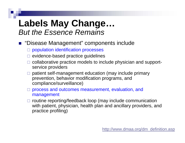#### **Labels May Change…** *But the Essence Remains*

- "Disease Management" components include
	- □ population identification processes
	- $\square$  evidence-based practice guidelines
	- $\Box$  collaborative practice models to include physician and supportservice providers
	- $\Box$  patient self-management education (may include primary prevention, behavior modification programs, and compliance/surveillance)
	- $\Box$  process and outcomes measurement, evaluation, and management
	- $\Box$  routine reporting/feedback loop (may include communication with patient, physician, health plan and ancillary providers, and practice profiling)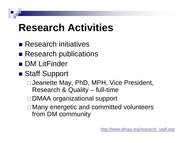## **Research Activities**

- Research initiatives
- Research publications
- DM LitFinder
- Staff Support
	- Jeanette May, PhD, MPH, Vice President, Research & Quality – full-time
	- □DMAA organizational support
	- **□ Many energetic and committed volunteers** from DM community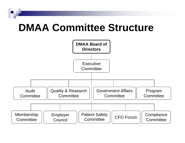### **DMAA Committee Structure**

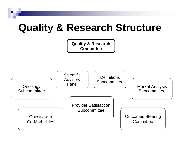### **Quality & Research Structure**

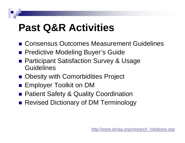## **Past Q&R Activities**

- Consensus Outcomes Measurement Guidelines
- **Predictive Modeling Buyer's Guide**
- Participant Satisfaction Survey & Usage **Guidelines**
- Obesity with Comorbidities Project
- Employer Toolkit on DM
- **Patient Safety & Quality Coordination**
- Revised Dictionary of DM Terminology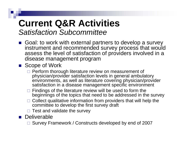### **Current Q&R Activities** *Satisfaction Subcommittee*

Goal: to work with external partners to develop a survey instrument and recommended survey process that would assess the level of satisfaction of providers involved in a disease management program

■ Scope of Work

- □ Perform thorough literature review on measurement of physician/provider satisfaction levels in general ambulatory environments, as well as literature covering physician/provider satisfaction in a disease management specific environment
- $\Box$  Findings of the literature review will be used to form the beginnings of the topics that need to be addressed in the survey
- $\Box$  Collect qualitative information from providers that will help the committee to develop the first survey draft
- $\Box$  Test and validate the survey
- **Deliverable** 
	- □ Survey Framework / Constructs developed by end of 2007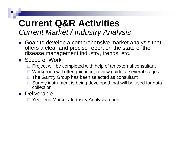### **Current Q&R Activities** *Current Market / Industry Analysis*

- Goal: to develop a comprehensive market analysis that offers a clear and precise report on the state of the disease management industry, trends, etc.
- Scope of Work
	- $\square$  Project will be completed with help of an external consultant
	- $\Box$ Workgroup will offer guidance, review guide at several stages
	- $\Box$ The Gantry Group has been selected as consultant
	- $\Box$  Survey instrument is being developed that will be used for data collection
- **Deliverable** 
	- □ Year-end Market / Industry Analysis report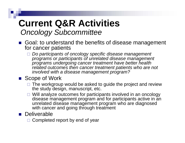### **Current Q&R Activities** *Oncology Subcommittee*

- Goal: to understand the benefits of disease management for cancer patients
	- *Do participants of oncology specific disease management programs or participants of unrelated disease management programs undergoing cancer treatment have better health related outcomes then cancer treatment patients who are not involved with a disease management program?*

#### ■ Scope of Work

- $\Box$  The workgroup would be asked to guide the project and review the study design, manuscript, etc.
- $\Box$  Will analyze outcomes for participants involved in an oncology disease management program and for participants active in an unrelated disease management program who are diagnosed with cancer and going through treatment

#### **Deliverable**

□ Completed report by end of year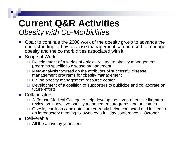### **Current Q&R Activities** *Obesity with Co-Morbidities*

- $\mathbb{R}^2$  Goal: to continue the 2006 work of the obesity group to advance the understanding of how disease management can be used to manage obesity and the co morbidities associated with it
- $\mathcal{L}_{\text{max}}$  Scope of Work
	- $\Box$  Development of a series of articles related to obesity management programs specific to disease management
	- n. Meta-analysis focused on the attributes of successful disease management programs for obesity management
	- □ Online obesity management resource center
	- □ Development of a coalition of supporters to publicize and collaborate on future efforts
- $\mathcal{L}_{\mathcal{A}}$ **Collaborators** 
	- $\Box$  Jefferson Medical College to help develop the comprehensive literature review on innovative obesity management programs and outcomes
	- $\Box$  Obesity coalition candidates are currently being contacted and invited to an introductory meeting followed by a full day conference in October
- $\mathbb{R}^2$ **Deliverable** 
	- All the above by year's end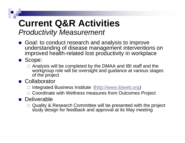### **Current Q&R Activities** *Productivity Measurement*

Goal: to conduct research and analysis to improve understanding of disease management interventions on improved health-related lost productivity in workplace

Scope:

 $\Box$  Analysis will be completed by the DMAA and IBI staff and the workgroup role will be oversight and guidance at various stages of the project

**E** Collaborator

- □ Integrated Business Institute (http://www.ibiweb.org)
- □ Coordinate with Wellness measures from Outcomes Project

**Deliverable** 

□ Quality & Research Committee will be presented with the project study design for feedback and approval at its May meeting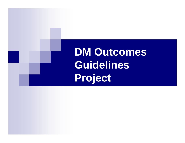## **DM Outcomes Guidelines Project**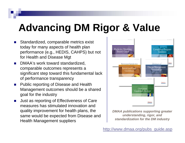## **Advancing DM Rigor & Value**

- m. Standardized, comparable metrics exist today for many aspects of health plan performance (e.g., HEDIS, CAHPS) but not for Health and Disease Mgt
- × DMAA's work toward standardized, comparable outcomes represents a significant step toward this fundamental lack of performance transparency
- × Public reporting of Disease and Health Management outcomes should be a shared goal for the industry
- $\mathcal{L}_{\rm{max}}$  Just as reporting of Effectiveness of Care measures has stimulated innovation and quality improvement for health plans, the same would be expected from Disease and Health Management suppliers



*DMAA publications supporting greater understanding, rigor, and standardization for the DM industry*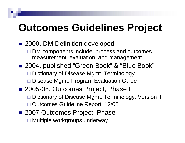### **Outcomes Guidelines Project**

- 2000, DM Definition developed **□ DM components include: process and outcomes** measurement, evaluation, and management ■ 2004, published "Green Book" & "Blue Book" □ Dictionary of Disease Mgmt. Terminology □ Disease Mgmt. Program Evaluation Guide ■ 2005-06, Outcomes Project, Phase I □ Dictionary of Disease Mgmt. Terminology, Version II Outcomes Guideline Report, 12/06
- 2007 Outcomes Project, Phase II □ Multiple workgroups underway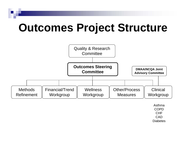## **Outcomes Project Structure**



AsthmaCOPDCHF**CAD Diabetes**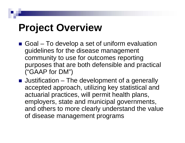## **Project Overview**

- Goal To develop a set of uniform evaluation guidelines for the disease management community to use for outcomes reporting purposes that are both defensible and practical ("GAAP for DM")
- Justification The development of a generally accepted approach, utilizing key statistical and actuarial practices, will permit health plans, employers, state and municipal governments, and others to more clearly understand the value of disease management programs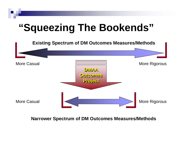## **"Squeezing The Bookends"**



**Single Standardized Approach for All DM Outcomes Narrower Spectrum of DM Outcomes Measures/Methods**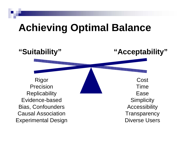### **Achieving Optimal Balance**

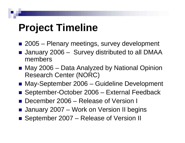### **Project Timeline**

- 2005 Plenary meetings, survey development
- January 2006 Survey distributed to all DMAA members
- May 2006 Data Analyzed by National Opinion Research Center (NORC)
- May-September 2006 Guideline Development
- September-October 2006 External Feedback
- December 2006 – Release of Version I
- January 2007 Work on Version II begins
- September 2007 Release of Version II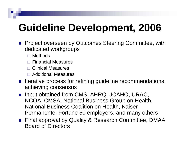## **Guideline Development, 2006**

- **Project overseen by Outcomes Steering Committee, with** dedicated workgroups
	- □ Methods
	- $\Box$ Financial Measures
	- □ Clinical Measures
	- Additional Measures
- **Ifterative process for refining guideline recommendations,** achieving consensus
- **If** Input obtained from CMS, AHRQ, JCAHO, URAC, NCQA, CMSA, National Business Group on Health, National Business Coalition on Health, Kaiser Permanente, Fortune 50 employers, and many others
- Final approval by Quality & Research Committee, DMAA Board of Directors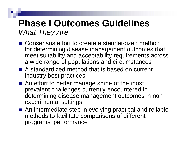### **Phase I Outcomes Guidelines**  *What They Are*

- Consensus effort to create a standardized method for determining disease management outcomes that meet suitability and acceptability requirements across a wide range of populations and circumstances
- A standardized method that is based on current industry best practices
- An effort to better manage some of the most prevalent challenges currently encountered in determining disease management outcomes in nonexperimental settings
- An intermediate step in evolving practical and reliable methods to facilitate comparisons of different programs' performance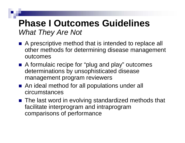#### **Phase I Outcomes Guidelines**  *What They Are Not*

- A prescriptive method that is intended to replace all other methods for determining disease management outcomes
- A formulaic recipe for "plug and play" outcomes determinations by unsophisticated disease management program reviewers
- An ideal method for all populations under all circumstances
- The last word in evolving standardized methods that facilitate interprogram and intraprogram comparisons of performance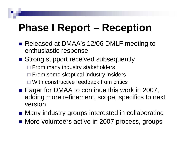## **Phase I Report – Reception**

- Released at DMAA's 12/06 DMLF meeting to enthusiastic response
- Strong support received subsequently □ From many industry stakeholders **□ From some skeptical industry insiders** 
	- □ With constructive feedback from critics
- Eager for DMAA to continue this work in 2007, adding more refinement, scope, specifics to next version
- Many industry groups interested in collaborating
- More volunteers active in 2007 process, groups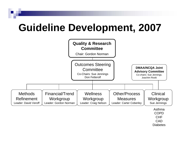### **Guideline Development, 2007**



CHFCAD

**Diabetes**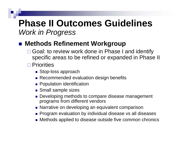#### **Methods Refinement Workgroup**

- □ Goal: to review work done in Phase I and identify specific areas to be refined or expanded in Phase II
- **□ Priorities** 
	- Stop-loss approach
	- Recommended evaluation design benefits
	- **Population identification**
	- **Small sample sizes**
	- Developing methods to compare disease management programs from different vendors
	- Narrative on developing an equivalent comparison
	- Program evaluation by individual disease vs all diseases
	- Methods applied to disease outside five common chronics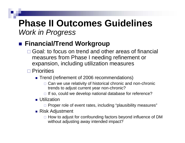#### **Financial/Trend Workgroup**

- □ Goal: to focus on trend and other areas of financial measures from Phase I needing refinement or expansion, including utilization measures
- **□ Priorities** 
	- Trend (refinement of 2006 recommendations)
		- □ Can we use relativity of historical chronic and non-chronic trends to adjust current year non-chronic?
		- $\Box$  If so, could we develop national database for reference?
	- **Utilization** 
		- $\Box$  Proper role of event rates, including "plausibility measures"
	- Risk Adjustment
		- $\Box$  How to adjust for confounding factors beyond influence of DM without adjusting away intended impact?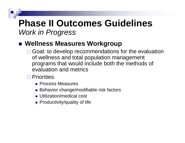#### ■ Wellness Measures Workgroup

- □ Goal: to develop recommendations for the evaluation of wellness and total population management programs that would include both the methods of evaluation and metrics
- **□ Priorities** 
	- **Process Measures**
	- Behavior change/modifiable risk factors
	- **Utilization/medical cost**
	- Productivity/quality of life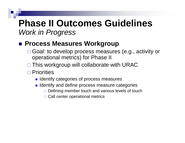#### **■ Process Measures Workgroup**

- □ Goal: to develop process measures (e.g., activity or operational metrics) for Phase II
- □ This workgroup will collaborate with URAC
- **□ Priorities** 
	- **I dentify categories of process measures**
	- $\blacksquare$  Identify and define process measure categories
		- $\Box$  Defining member touch and various levels of touch
		- $\Box$  Call center operational metrics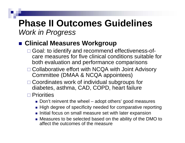#### **Clinical Measures Workgroup**

- □ Goal: to identify and recommend effectiveness-ofcare measures for five clinical conditions suitable for both evaluation and performance comparisons
- □ Collaborative effort with NCQA with Joint Advisory Committee (DMAA & NCQA appointees)
- □ Coordinates work of individual subgroups for diabetes, asthma, CAD, COPD, heart failure
- **□ Priorities** 
	- Don't reinvent the wheel adopt others' good measures
	- $\blacksquare$  High degree of specificity needed for comparative reporting
	- $\blacksquare$  Initial focus on small measure set with later expansion
	- Measures to be selected based on the ability of the DMO to affect the outcomes of the measure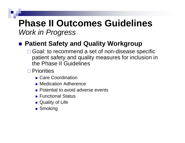#### ■ Patient Safety and Quality Workgroup

- □ Goal: to recommend a set of non-disease specific patient safety and quality measures for inclusion in the Phase II Guidelines
- **□ Priorities** 
	- Care Coordination
	- **Redication Adherence**
	- **Potential to avoid adverse events**
	- Functional Status
	- Quality of Life
	- **Smoking**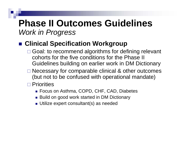#### ■ Clinical Specification Workgroup

- □ Goal: to recommend algorithms for defining relevant cohorts for the five conditions for the Phase II Guidelines building on earlier work in DM Dictionary
- □ Necessary for comparable clinical & other outcomes (but not to be confused with operational mandate)
- **□ Priorities** 
	- Focus on Asthma, COPD, CHF, CAD, Diabetes
	- Build on good work started in DM Dictionary
	- Utilize expert consultant(s) as needed